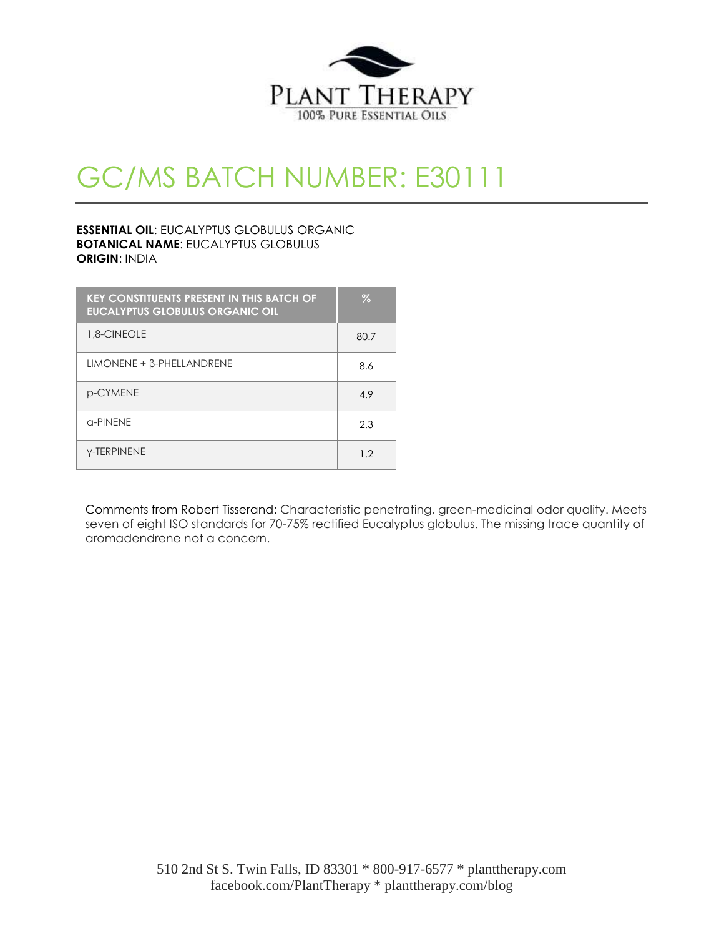

# GC/MS BATCH NUMBER: E30111

## **ESSENTIAL OIL**: EUCALYPTUS GLOBULUS ORGANIC **BOTANICAL NAME**: EUCALYPTUS GLOBULUS **ORIGIN**: INDIA

| <b>KEY CONSTITUENTS PRESENT IN THIS BATCH OF</b><br><b>EUCALYPTUS GLOBULUS ORGANIC OIL</b> | Z    |
|--------------------------------------------------------------------------------------------|------|
| 1.8-CINEOLE                                                                                | 80.7 |
| $LIMONENE + \beta$ -PHELLANDRENE                                                           | 8.6  |
| p-CYMENE                                                                                   | 4.9  |
| a-PINFNF                                                                                   | 2.3  |
| <b>Y-TERPINENE</b>                                                                         | 1.2  |

Comments from Robert Tisserand: Characteristic penetrating, green-medicinal odor quality. Meets seven of eight ISO standards for 70-75% rectified Eucalyptus globulus. The missing trace quantity of aromadendrene not a concern.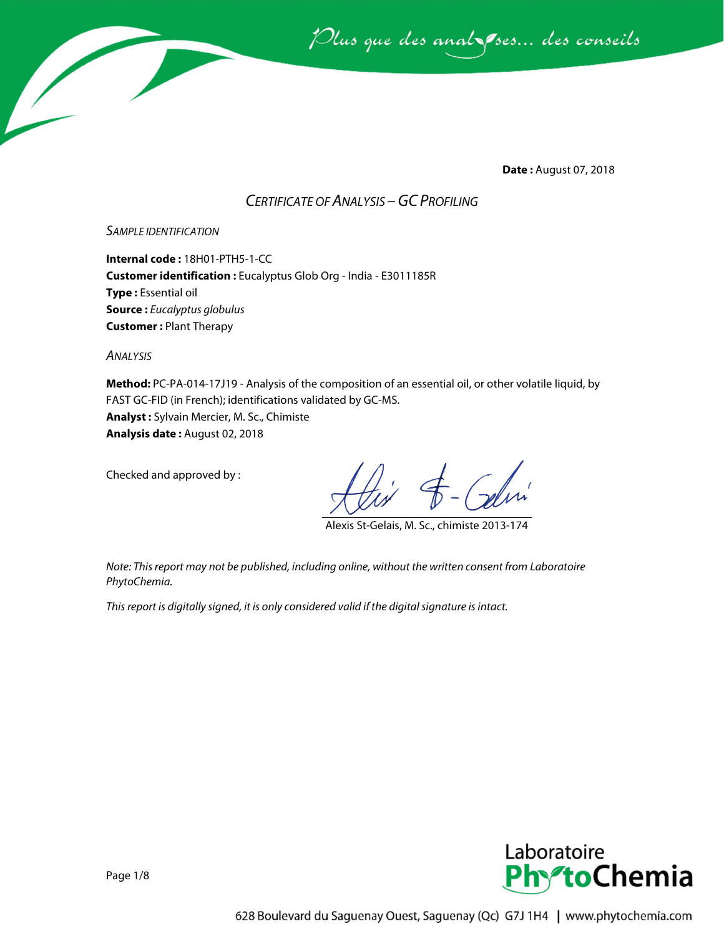

**Date :** August 07, 2018

# *CERTIFICATE OF ANALYSIS –GC PROFILING*

#### *SAMPLE IDENTIFICATION*

**Internal code :** 18H01-PTH5-1-CC **Customer identification :** Eucalyptus Glob Org - India - E3011185R **Type :** Essential oil **Source :** *Eucalyptus globulus* **Customer :** Plant Therapy

*ANALYSIS*

**Method:** PC-PA-014-17J19 - Analysis of the composition of an essential oil, or other volatile liquid, by FAST GC-FID (in French); identifications validated by GC-MS. **Analyst :** Sylvain Mercier, M. Sc., Chimiste **Analysis date :** August 02, 2018

Checked and approved by :

Alexis St-Gelais, M. Sc., chimiste 2013-174

*Note: This report may not be published, including online, without the written consent from Laboratoire PhytoChemia.*

*This report is digitally signed, it is only considered valid if the digital signature is intact.*

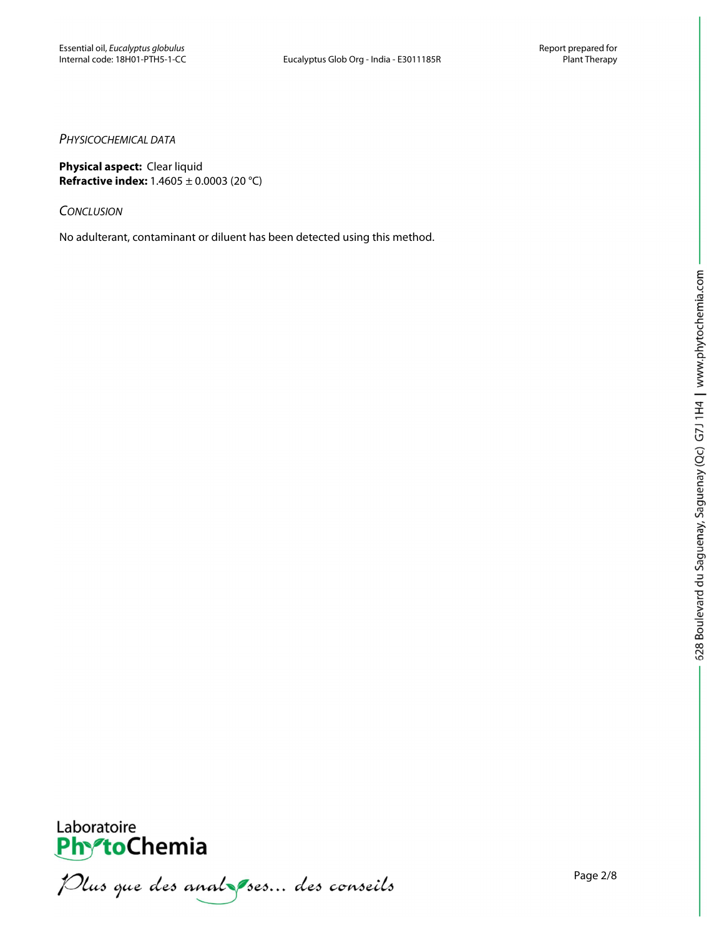#### *PHYSICOCHEMICAL DATA*

**Physical aspect:** Clear liquid **Refractive index:** 1.4605 ± 0.0003 (20 °C)

*CONCLUSION*

No adulterant, contaminant or diluent has been detected using this method.



**PhytoChemia**<br>*PhytoChemia*<br>*Plus que des analyses... des conseils*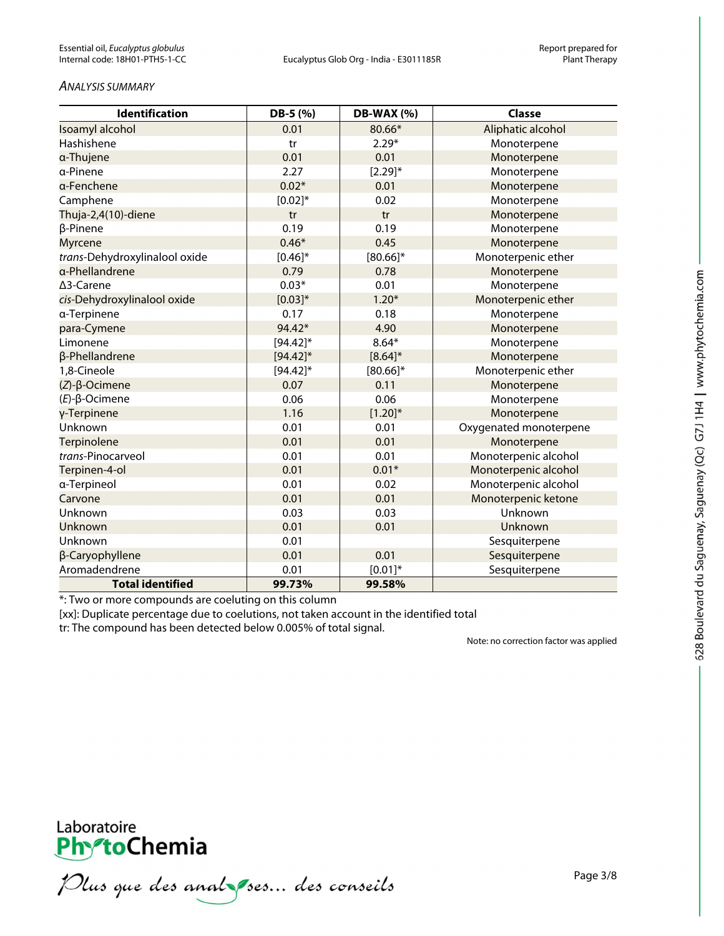#### *ANALYSIS SUMMARY*

| <b>Identification</b>         | DB-5 (%)    | <b>DB-WAX (%)</b> | Classe                 |
|-------------------------------|-------------|-------------------|------------------------|
| Isoamyl alcohol               | 0.01        | 80.66*            | Aliphatic alcohol      |
| Hashishene                    | tr          | $2.29*$           | Monoterpene            |
| a-Thujene                     | 0.01        | 0.01              | Monoterpene            |
| a-Pinene                      | 2.27        | $[2.29]^{*}$      | Monoterpene            |
| a-Fenchene                    | $0.02*$     | 0.01              | Monoterpene            |
| Camphene                      | $[0.02]*$   | 0.02              | Monoterpene            |
| Thuja-2,4(10)-diene           | tr          | tr                | Monoterpene            |
| β-Pinene                      | 0.19        | 0.19              | Monoterpene            |
| Myrcene                       | $0.46*$     | 0.45              | Monoterpene            |
| trans-Dehydroxylinalool oxide | $[0.46]$ *  | $[80.66]$ *       | Monoterpenic ether     |
| a-Phellandrene                | 0.79        | 0.78              | Monoterpene            |
| ∆3-Carene                     | $0.03*$     | 0.01              | Monoterpene            |
| cis-Dehydroxylinalool oxide   | $[0.03]*$   | $1.20*$           | Monoterpenic ether     |
| a-Terpinene                   | 0.17        | 0.18              | Monoterpene            |
| para-Cymene                   | 94.42*      | 4.90              | Monoterpene            |
| Limonene                      | $[94.42]$ * | $8.64*$           | Monoterpene            |
| β-Phellandrene                | $[94.42]$ * | $[8.64]$ *        | Monoterpene            |
| 1,8-Cineole                   | $[94.42]$ * | $[80.66]$ *       | Monoterpenic ether     |
| $(Z)$ - $\beta$ -Ocimene      | 0.07        | 0.11              | Monoterpene            |
| $(E)$ -β-Ocimene              | 0.06        | 0.06              | Monoterpene            |
| γ-Terpinene                   | 1.16        | $[1.20]^{*}$      | Monoterpene            |
| Unknown                       | 0.01        | 0.01              | Oxygenated monoterpene |
| Terpinolene                   | 0.01        | 0.01              | Monoterpene            |
| trans-Pinocarveol             | 0.01        | 0.01              | Monoterpenic alcohol   |
| Terpinen-4-ol                 | 0.01        | $0.01*$           | Monoterpenic alcohol   |
| a-Terpineol                   | 0.01        | 0.02              | Monoterpenic alcohol   |
| Carvone                       | 0.01        | 0.01              | Monoterpenic ketone    |
| Unknown                       | 0.03        | 0.03              | Unknown                |
| Unknown                       | 0.01        | 0.01              | Unknown                |
| Unknown                       | 0.01        |                   | Sesquiterpene          |
| β-Caryophyllene               | 0.01        | 0.01              | Sesquiterpene          |
| Aromadendrene                 | 0.01        | $[0.01]*$         | Sesquiterpene          |
| <b>Total identified</b>       | 99.73%      | 99.58%            |                        |

\*: Two or more compounds are coeluting on this column

[xx]: Duplicate percentage due to coelutions, not taken account in the identified total

tr: The compound has been detected below 0.005% of total signal.

Note: no correction factor was applied



Plus que des analzes... des conseils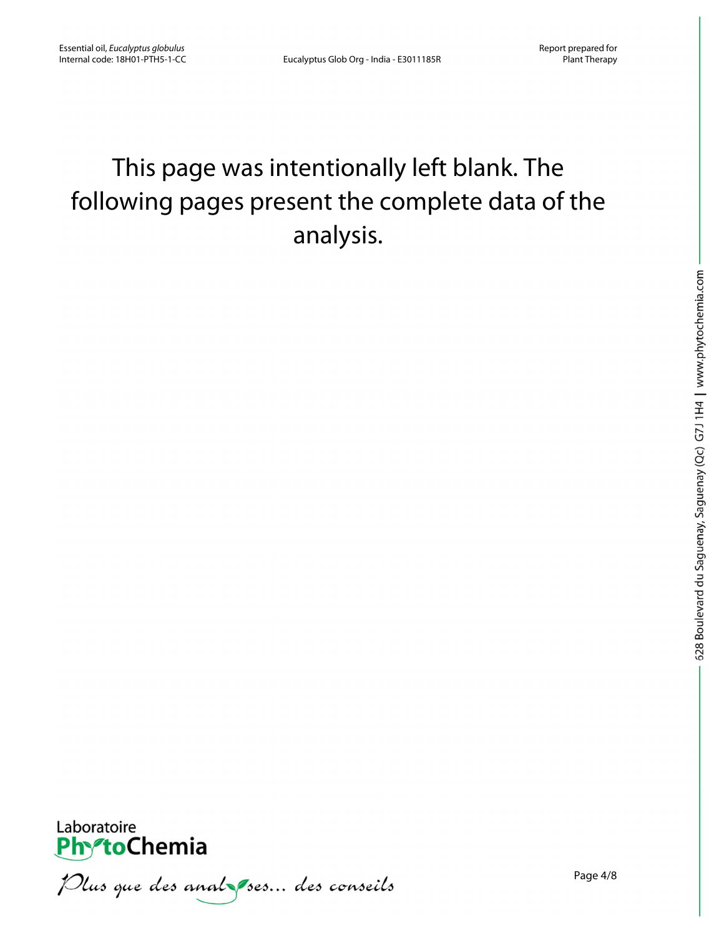# This page was intentionally left blank. The following pages present the complete data of the analysis.



Plus que des analzes... des conseils

Page 4/8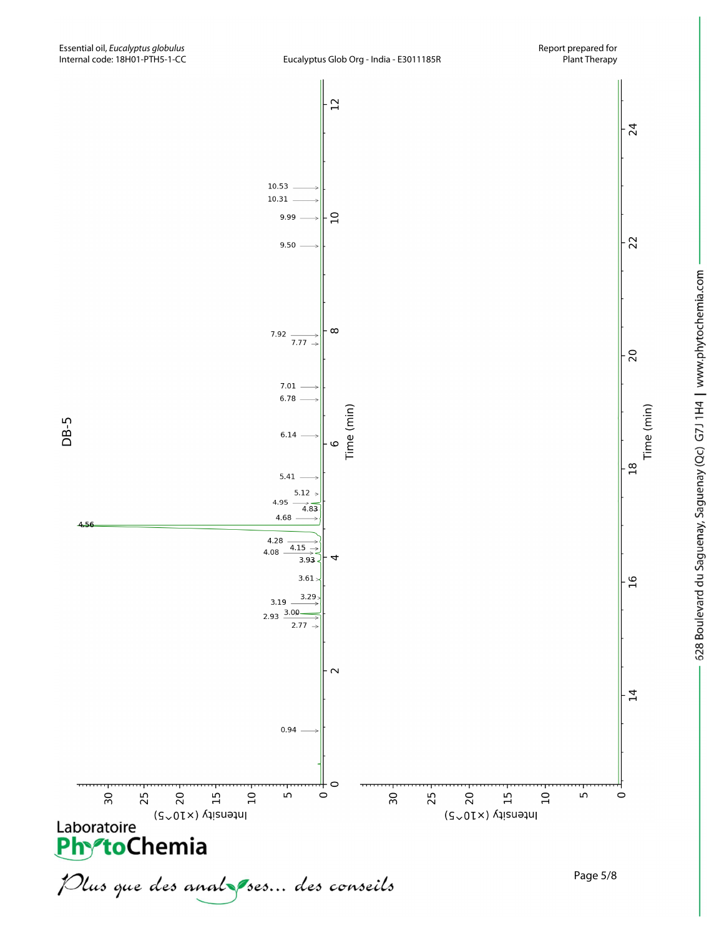DB-5

4.56

Plus que des analzes... des conseils



Page 5/8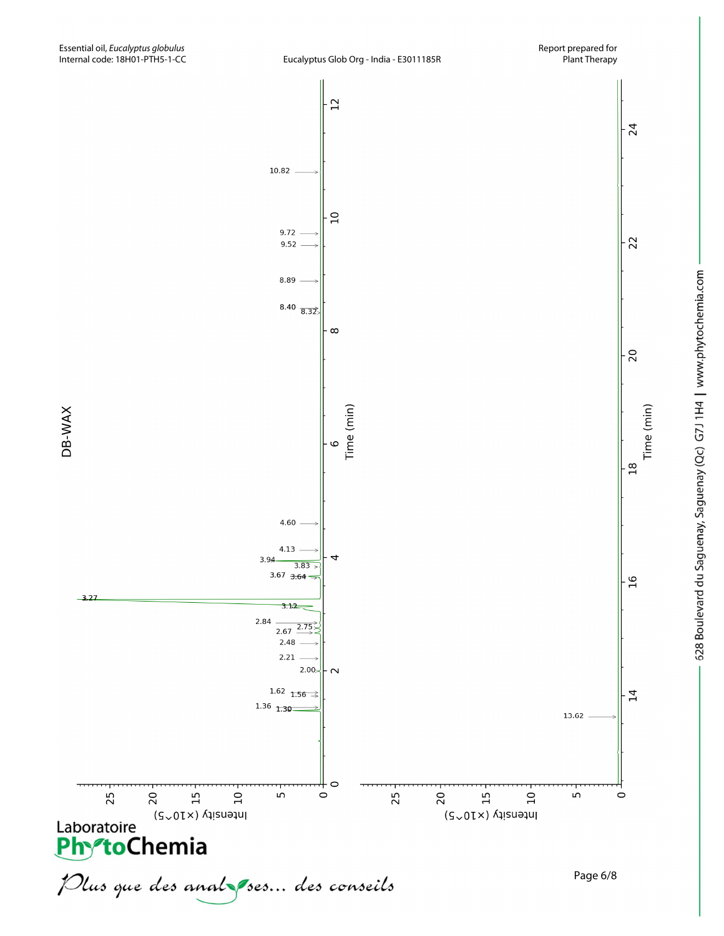



628 Boulevard du Saguenay, Saguenay (Qc) G7J 1H4 | www.phytochemia.com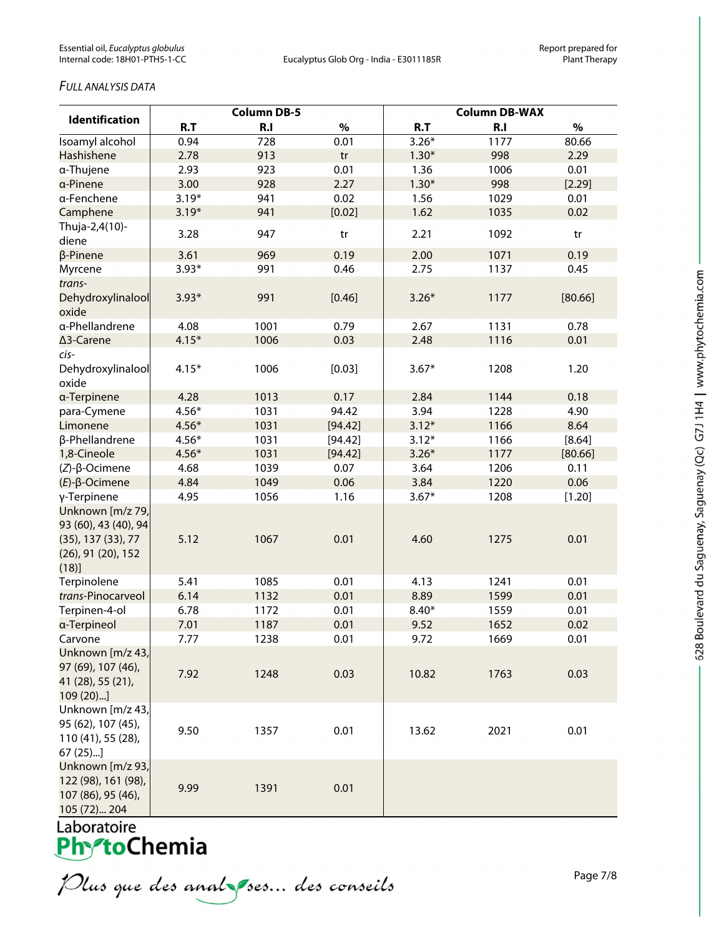## *FULL ANALYSIS DATA*

| <b>Identification</b>                                                                                              | <b>Column DB-5</b> |              |              | <b>Column DB-WAX</b> |              |                |
|--------------------------------------------------------------------------------------------------------------------|--------------------|--------------|--------------|----------------------|--------------|----------------|
|                                                                                                                    | R.T                | R.I          | $\%$         | R.T                  | R.I          | $\%$           |
| Isoamyl alcohol                                                                                                    | 0.94               | 728          | 0.01         | $3.26*$              | 1177         | 80.66          |
| Hashishene                                                                                                         | 2.78               | 913          | tr           | $1.30*$              | 998          | 2.29           |
| a-Thujene                                                                                                          | 2.93               | 923          | 0.01         | 1.36                 | 1006         | 0.01           |
| a-Pinene                                                                                                           | 3.00               | 928          | 2.27         | $1.30*$              | 998          | [2.29]         |
| a-Fenchene                                                                                                         | $3.19*$            | 941          | 0.02         | 1.56                 | 1029         | 0.01           |
| Camphene                                                                                                           | $3.19*$            | 941          | [0.02]       | 1.62                 | 1035         | 0.02           |
| Thuja-2,4(10)-<br>diene                                                                                            | 3.28               | 947          | tr           | 2.21                 | 1092         | tr             |
| β-Pinene                                                                                                           | 3.61               | 969          | 0.19         | 2.00                 | 1071         | 0.19           |
| Myrcene                                                                                                            | $3.93*$            | 991          | 0.46         | 2.75                 | 1137         | 0.45           |
| trans-<br>Dehydroxylinalool<br>oxide                                                                               | $3.93*$            | 991          | [0.46]       | $3.26*$              | 1177         | [80.66]        |
| a-Phellandrene                                                                                                     | 4.08               | 1001         | 0.79         | 2.67                 | 1131         | 0.78           |
| ∆3-Carene                                                                                                          | $4.15*$            | 1006         | 0.03         | 2.48                 | 1116         | 0.01           |
| cis-<br>Dehydroxylinalool<br>oxide                                                                                 | $4.15*$            | 1006         | [0.03]       | $3.67*$              | 1208         | 1.20           |
| a-Terpinene                                                                                                        | 4.28               | 1013         | 0.17         | 2.84                 | 1144         | 0.18           |
| para-Cymene                                                                                                        | $4.56*$            | 1031         | 94.42        | 3.94                 | 1228         | 4.90           |
| Limonene                                                                                                           | $4.56*$            | 1031         | [94.42]      | $3.12*$              | 1166         | 8.64           |
| β-Phellandrene                                                                                                     | $4.56*$            | 1031         | [94.42]      | $3.12*$              | 1166         | [8.64]         |
| 1,8-Cineole                                                                                                        | $4.56*$            | 1031         | [94.42]      | $3.26*$              | 1177         | [80.66]        |
| $(Z)-\beta$ -Ocimene                                                                                               | 4.68               | 1039         | 0.07         | 3.64                 | 1206         | 0.11           |
| $(E)$ - $\beta$ -Ocimene                                                                                           | 4.84               | 1049         | 0.06         | 3.84                 | 1220         | 0.06           |
| γ-Terpinene<br>Unknown [m/z 79,<br>93 (60), 43 (40), 94<br>$(35)$ , 137 $(33)$ , 77<br>(26), 91 (20), 152<br>(18)] | 4.95<br>5.12       | 1056<br>1067 | 1.16<br>0.01 | $3.67*$<br>4.60      | 1208<br>1275 | [1.20]<br>0.01 |
| Terpinolene                                                                                                        | 5.41               | 1085         | 0.01         | 4.13                 | 1241         | 0.01           |
| trans-Pinocarveol                                                                                                  | 6.14               | 1132         | 0.01         | 8.89                 | 1599         | 0.01           |
| Terpinen-4-ol                                                                                                      | 6.78               | 1172         | 0.01         | $8.40*$              | 1559         | 0.01           |
| a-Terpineol                                                                                                        | 7.01               | 1187         | 0.01         | 9.52                 | 1652         | 0.02           |
| Carvone                                                                                                            | 7.77               | 1238         | 0.01         | 9.72                 | 1669         | 0.01           |
| Unknown [m/z 43,<br>97 (69), 107 (46),<br>41 (28), 55 (21),<br>109(20)                                             | 7.92               | 1248         | 0.03         | 10.82                | 1763         | 0.03           |
| Unknown [m/z 43,<br>95 (62), 107 (45),<br>110 (41), 55 (28),<br>$67(25)$ ]                                         | 9.50               | 1357         | 0.01         | 13.62                | 2021         | 0.01           |
| Unknown [m/z 93,<br>122 (98), 161 (98),<br>107 (86), 95 (46),<br>105 (72) 204                                      | 9.99               | 1391         | 0.01         |                      |              |                |

628 Boulevard du Saguenay, Saguenay (Qc) G7J 1H4 | www.phytochemia.com

Laboratoire<br>**Phy<sup>s</sup>toChemia** 

Plus que des anal ses... des conseils